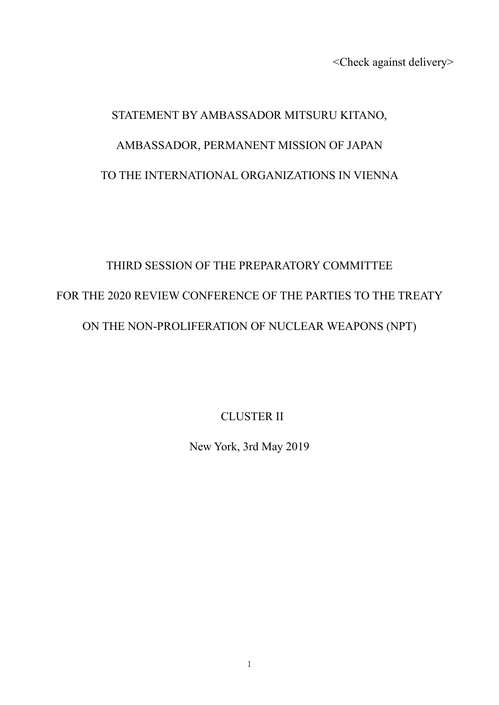<Check against delivery>

# STATEMENT BY AMBASSADOR MITSURU KITANO, AMBASSADOR, PERMANENT MISSION OF JAPAN TO THE INTERNATIONAL ORGANIZATIONS IN VIENNA

# THIRD SESSION OF THE PREPARATORY COMMITTEE FOR THE 2020 REVIEW CONFERENCE OF THE PARTIES TO THE TREATY ON THE NON-PROLIFERATION OF NUCLEAR WEAPONS (NPT)

CLUSTER II

New York, 3rd May 2019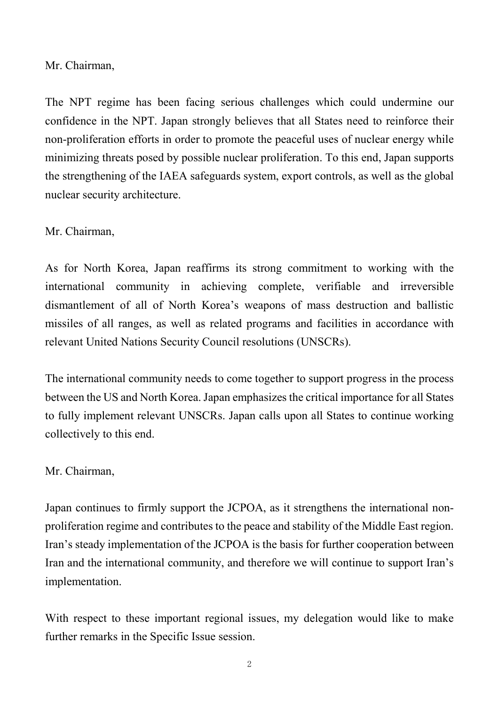Mr. Chairman,

The NPT regime has been facing serious challenges which could undermine our confidence in the NPT. Japan strongly believes that all States need to reinforce their non-proliferation efforts in order to promote the peaceful uses of nuclear energy while minimizing threats posed by possible nuclear proliferation. To this end, Japan supports the strengthening of the IAEA safeguards system, export controls, as well as the global nuclear security architecture.

#### Mr. Chairman,

As for North Korea, Japan reaffirms its strong commitment to working with the international community in achieving complete, verifiable and irreversible dismantlement of all of North Korea's weapons of mass destruction and ballistic missiles of all ranges, as well as related programs and facilities in accordance with relevant United Nations Security Council resolutions (UNSCRs).

The international community needs to come together to support progress in the process between the US and North Korea. Japan emphasizes the critical importance for all States to fully implement relevant UNSCRs. Japan calls upon all States to continue working collectively to this end.

## Mr. Chairman,

Japan continues to firmly support the JCPOA, as it strengthens the international nonproliferation regime and contributes to the peace and stability of the Middle East region. Iran's steady implementation of the JCPOA is the basis for further cooperation between Iran and the international community, and therefore we will continue to support Iran's implementation.

With respect to these important regional issues, my delegation would like to make further remarks in the Specific Issue session.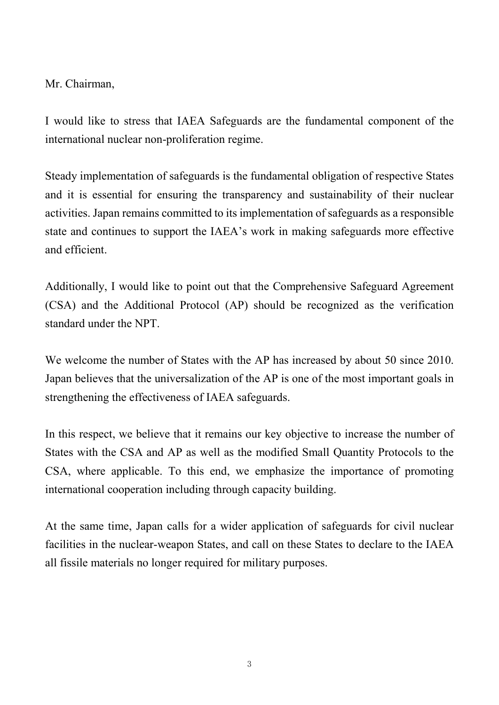Mr. Chairman,

I would like to stress that IAEA Safeguards are the fundamental component of the international nuclear non-proliferation regime.

Steady implementation of safeguards is the fundamental obligation of respective States and it is essential for ensuring the transparency and sustainability of their nuclear activities. Japan remains committed to its implementation of safeguards as a responsible state and continues to support the IAEA's work in making safeguards more effective and efficient.

Additionally, I would like to point out that the Comprehensive Safeguard Agreement (CSA) and the Additional Protocol (AP) should be recognized as the verification standard under the NPT.

We welcome the number of States with the AP has increased by about 50 since 2010. Japan believes that the universalization of the AP is one of the most important goals in strengthening the effectiveness of IAEA safeguards.

In this respect, we believe that it remains our key objective to increase the number of States with the CSA and AP as well as the modified Small Quantity Protocols to the CSA, where applicable. To this end, we emphasize the importance of promoting international cooperation including through capacity building.

At the same time, Japan calls for a wider application of safeguards for civil nuclear facilities in the nuclear-weapon States, and call on these States to declare to the IAEA all fissile materials no longer required for military purposes.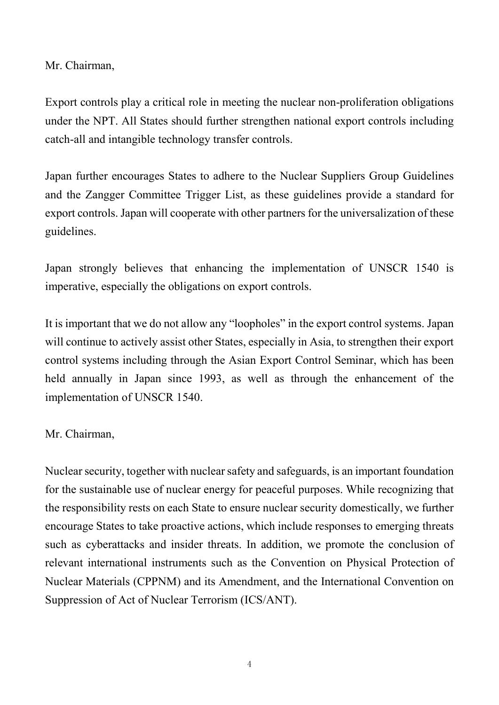Mr. Chairman,

Export controls play a critical role in meeting the nuclear non-proliferation obligations under the NPT. All States should further strengthen national export controls including catch-all and intangible technology transfer controls.

Japan further encourages States to adhere to the Nuclear Suppliers Group Guidelines and the Zangger Committee Trigger List, as these guidelines provide a standard for export controls.Japan will cooperate with other partners for the universalization of these guidelines.

Japan strongly believes that enhancing the implementation of UNSCR 1540 is imperative, especially the obligations on export controls.

It is important that we do not allow any "loopholes" in the export control systems. Japan will continue to actively assist other States, especially in Asia, to strengthen their export control systems including through the Asian Export Control Seminar, which has been held annually in Japan since 1993, as well as through the enhancement of the implementation of UNSCR 1540.

## Mr. Chairman,

Nuclear security, together with nuclear safety and safeguards, is an important foundation for the sustainable use of nuclear energy for peaceful purposes. While recognizing that the responsibility rests on each State to ensure nuclear security domestically, we further encourage States to take proactive actions, which include responses to emerging threats such as cyberattacks and insider threats. In addition, we promote the conclusion of relevant international instruments such as the Convention on Physical Protection of Nuclear Materials (CPPNM) and its Amendment, and the International Convention on Suppression of Act of Nuclear Terrorism (ICS/ANT).